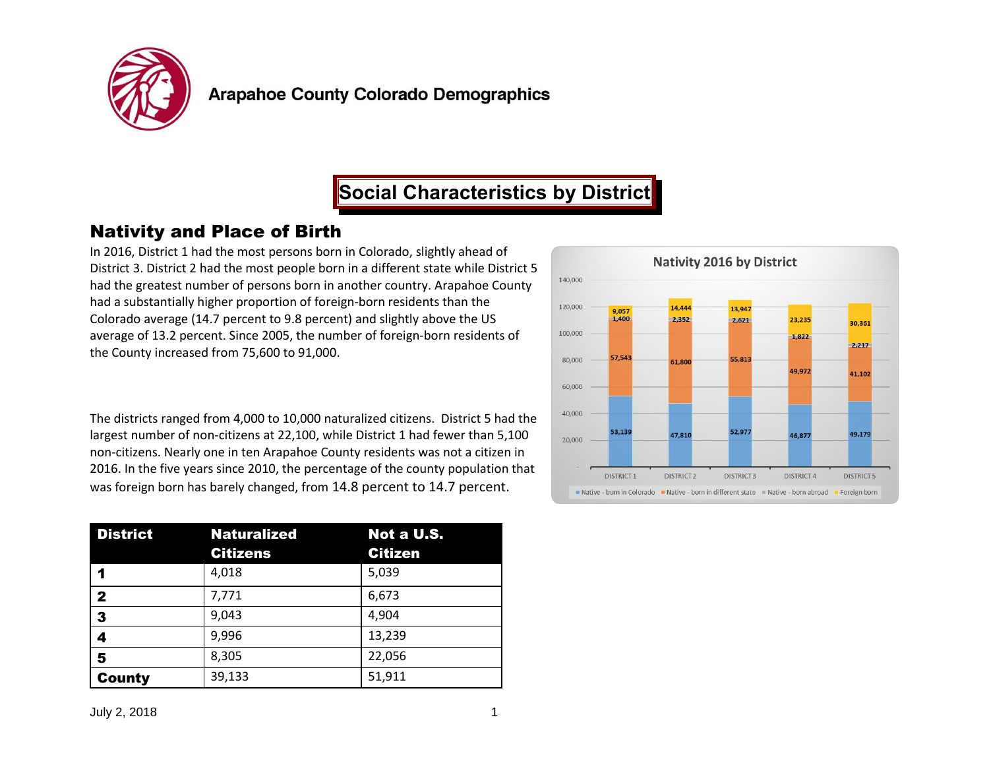

## **Social Characteristics by District**

## Nativity and Place of Birth

In 2016, District 1 had the most persons born in Colorado, slightly ahead of District 3. District 2 had the most people born in a different state while District 5 had the greatest number of persons born in another country. Arapahoe County had a substantially higher proportion of foreign-born residents than the Colorado average (14.7 percent to 9.8 percent) and slightly above the US average of 13.2 percent. Since 2005, the number of foreign-born residents of the County increased from 75,600 to 91,000.

The districts ranged from 4,000 to 10,000 naturalized citizens. District 5 had the largest number of non-citizens at 22,100, while District 1 had fewer than 5,100 non-citizens. Nearly one in ten Arapahoe County residents was not a citizen in 2016. In the five years since 2010, the percentage of the county population that was foreign born has barely changed, from 14.8 percent to 14.7 percent.

| <b>District</b> | <b>Naturalized</b> | Not a U.S.     |
|-----------------|--------------------|----------------|
|                 | <b>Citizens</b>    | <b>Citizen</b> |
|                 | 4,018              | 5,039          |
| $\mathbf{2}$    | 7,771              | 6,673          |
| 3               | 9,043              | 4,904          |
| 4               | 9,996              | 13,239         |
| 5               | 8,305              | 22,056         |
| <b>County</b>   | 39,133             | 51,911         |

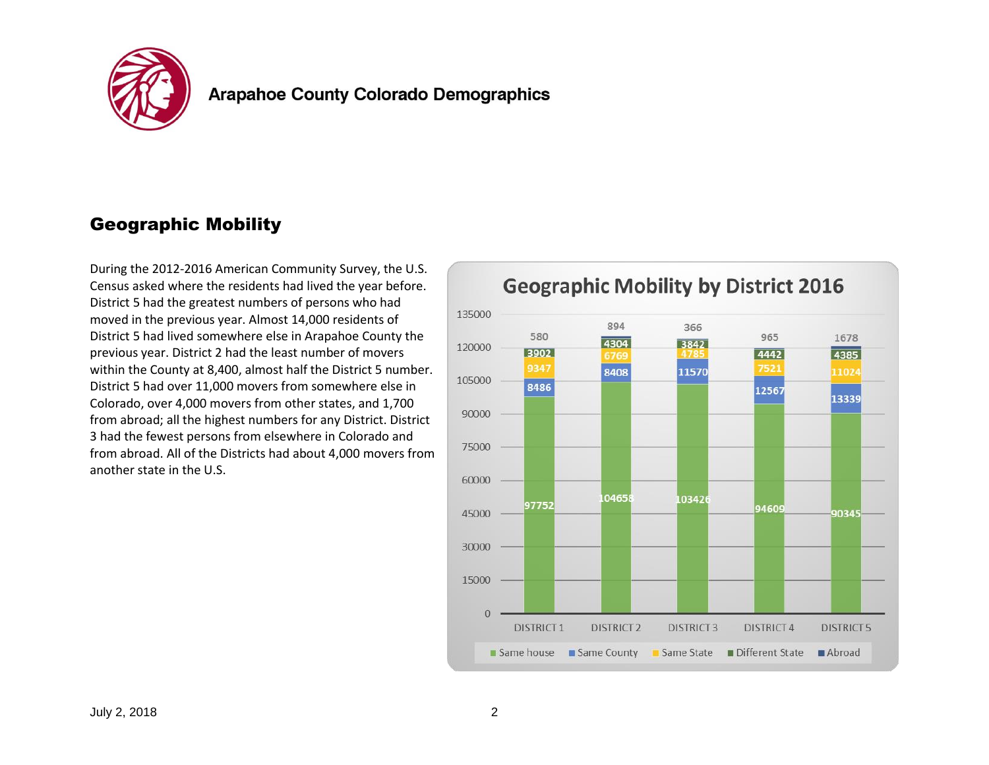

## Geographic Mobility

During the 2012-2016 American Community Survey, the U.S. Census asked where the residents had lived the year before. District 5 had the greatest numbers of persons who had moved in the previous year. Almost 14,000 residents of District 5 had lived somewhere else in Arapahoe County the previous year. District 2 had the least number of movers within the County at 8,400, almost half the District 5 number. District 5 had over 11,000 movers from somewhere else in Colorado, over 4,000 movers from other states, and 1,700 from abroad; all the highest numbers for any District. District 3 had the fewest persons from elsewhere in Colorado and from abroad. All of the Districts had about 4,000 movers from another state in the U.S.